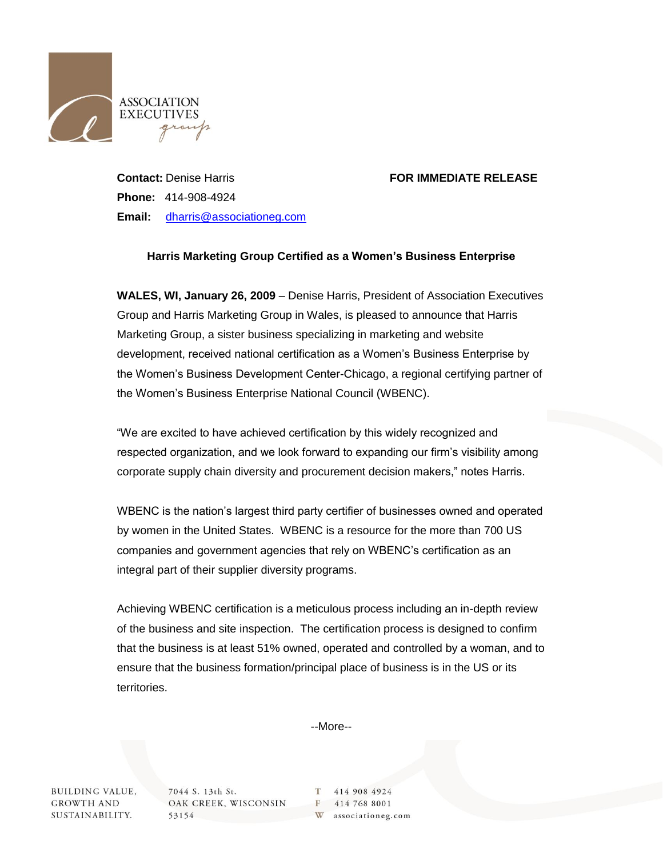

## **Contact:** Denise Harris **FOR IMMEDIATE RELEASE**

**Phone:** 414-908-4924 **Email:** [dharris@associationeg.com](mailto:dharris@associationeg.com)

## **Harris Marketing Group Certified as a Women's Business Enterprise**

**WALES, WI, January 26, 2009** – Denise Harris, President of Association Executives Group and Harris Marketing Group in Wales, is pleased to announce that Harris Marketing Group, a sister business specializing in marketing and website development, received national certification as a Women's Business Enterprise by the Women's Business Development Center-Chicago, a regional certifying partner of the Women's Business Enterprise National Council (WBENC).

"We are excited to have achieved certification by this widely recognized and respected organization, and we look forward to expanding our firm's visibility among corporate supply chain diversity and procurement decision makers," notes Harris.

WBENC is the nation's largest third party certifier of businesses owned and operated by women in the United States. WBENC is a resource for the more than 700 US companies and government agencies that rely on WBENC's certification as an integral part of their supplier diversity programs.

Achieving WBENC certification is a meticulous process including an in-depth review of the business and site inspection. The certification process is designed to confirm that the business is at least 51% owned, operated and controlled by a woman, and to ensure that the business formation/principal place of business is in the US or its territories.

--More--

**BUILDING VALUE, GROWTH AND** SUSTAINABILITY. 7044 S. 13th St. OAK CREEK, WISCONSIN 53154

414 908 4924 T. F 414 768 8001 W associationeg.com